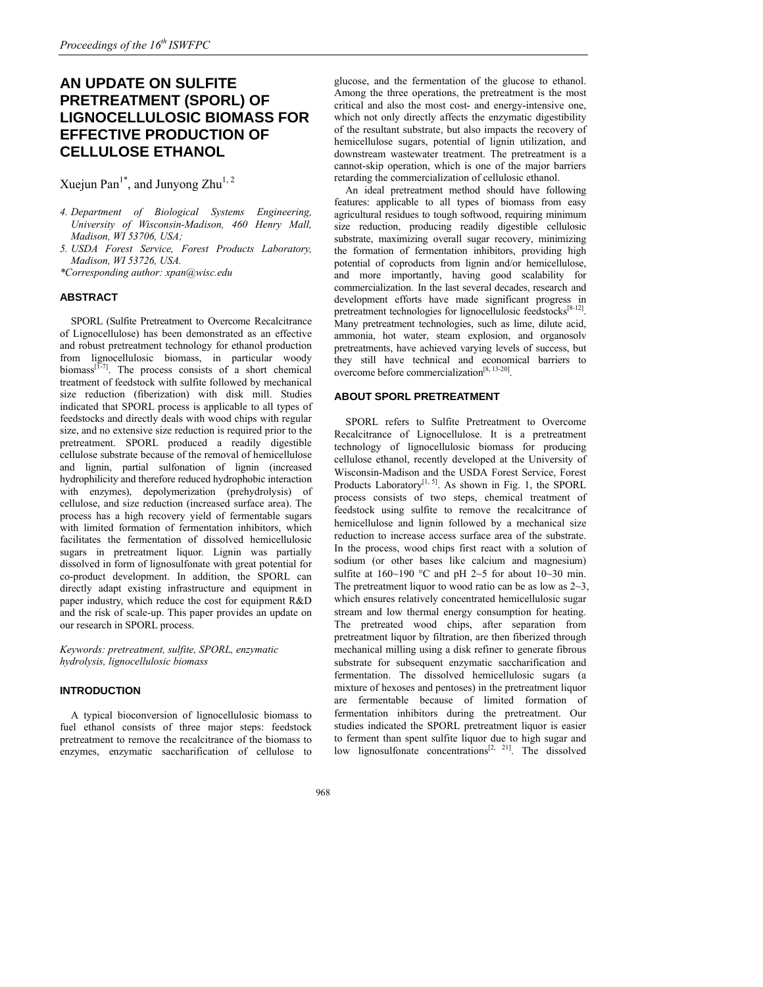# **AN UPDATE ON SULFITE PRETREATMENT (SPORL) OF LIGNOCELLULOSIC BIOMASS FOR EFFECTIVE PRODUCTION OF CELLULOSE ETHANOL**

Xuejun Pan<sup>1\*</sup>, and Junyong Zhu<sup>1, 2</sup>

- *4. Department of Biological Systems Engineering, University of Wisconsin-Madison, 460 Henry Mall, Madison, WI 53706, USA;*
- *5. USDA Forest Service, Forest Products Laboratory, Madison, WI 53726, USA.*

*\*Corresponding author: xpan@wisc.edu* 

## **ABSTRACT**

SPORL (Sulfite Pretreatment to Overcome Recalcitrance of Lignocellulose) has been demonstrated as an effective and robust pretreatment technology for ethanol production from lignocellulosic biomass, in particular woody biomass $[1-7]$ . The process consists of a short chemical treatment of feedstock with sulfite followed by mechanical size reduction (fiberization) with disk mill. Studies indicated that SPORL process is applicable to all types of feedstocks and directly deals with wood chips with regular size, and no extensive size reduction is required prior to the pretreatment. SPORL produced a readily digestible cellulose substrate because of the removal of hemicellulose and lignin, partial sulfonation of lignin (increased hydrophilicity and therefore reduced hydrophobic interaction with enzymes), depolymerization (prehydrolysis) of cellulose, and size reduction (increased surface area). The process has a high recovery yield of fermentable sugars with limited formation of fermentation inhibitors, which facilitates the fermentation of dissolved hemicellulosic sugars in pretreatment liquor. Lignin was partially dissolved in form of lignosulfonate with great potential for co-product development. In addition, the SPORL can directly adapt existing infrastructure and equipment in paper industry, which reduce the cost for equipment R&D and the risk of scale-up. This paper provides an update on our research in SPORL process.

*Keywords: pretreatment, sulfite, SPORL, enzymatic hydrolysis, lignocellulosic biomass* 

## **INTRODUCTION**

A typical bioconversion of lignocellulosic biomass to fuel ethanol consists of three major steps: feedstock pretreatment to remove the recalcitrance of the biomass to enzymes, enzymatic saccharification of cellulose to glucose, and the fermentation of the glucose to ethanol. Among the three operations, the pretreatment is the most critical and also the most cost- and energy-intensive one, which not only directly affects the enzymatic digestibility of the resultant substrate, but also impacts the recovery of hemicellulose sugars, potential of lignin utilization, and downstream wastewater treatment. The pretreatment is a cannot-skip operation, which is one of the major barriers retarding the commercialization of cellulosic ethanol.

An ideal pretreatment method should have following features: applicable to all types of biomass from easy agricultural residues to tough softwood, requiring minimum size reduction, producing readily digestible cellulosic substrate, maximizing overall sugar recovery, minimizing the formation of fermentation inhibitors, providing high potential of coproducts from lignin and/or hemicellulose, and more importantly, having good scalability for commercialization. In the last several decades, research and development efforts have made significant progress in pretreatment technologies for lignocellulosic feedstocks[8-12]. Many pretreatment technologies, such as lime, dilute acid, ammonia, hot water, steam explosion, and organosolv pretreatments, have achieved varying levels of success, but they still have technical and economical barriers to overcome before commercialization[8, 13-20].

## **ABOUT SPORL PRETREATMENT**

SPORL refers to Sulfite Pretreatment to Overcome Recalcitrance of Lignocellulose. It is a pretreatment technology of lignocellulosic biomass for producing cellulose ethanol, recently developed at the University of Wisconsin-Madison and the USDA Forest Service, Forest Products Laboratory $[1, 5]$ . As shown in Fig. 1, the SPORL process consists of two steps, chemical treatment of feedstock using sulfite to remove the recalcitrance of hemicellulose and lignin followed by a mechanical size reduction to increase access surface area of the substrate. In the process, wood chips first react with a solution of sodium (or other bases like calcium and magnesium) sulfite at  $160~190$  °C and pH 2~5 for about  $10~30$  min. The pretreatment liquor to wood ratio can be as low as  $2 \sim 3$ , which ensures relatively concentrated hemicellulosic sugar stream and low thermal energy consumption for heating. The pretreated wood chips, after separation from pretreatment liquor by filtration, are then fiberized through mechanical milling using a disk refiner to generate fibrous substrate for subsequent enzymatic saccharification and fermentation. The dissolved hemicellulosic sugars (a mixture of hexoses and pentoses) in the pretreatment liquor are fermentable because of limited formation of fermentation inhibitors during the pretreatment. Our studies indicated the SPORL pretreatment liquor is easier to ferment than spent sulfite liquor due to high sugar and low lignosulfonate concentrations $[2, 21]$ . The dissolved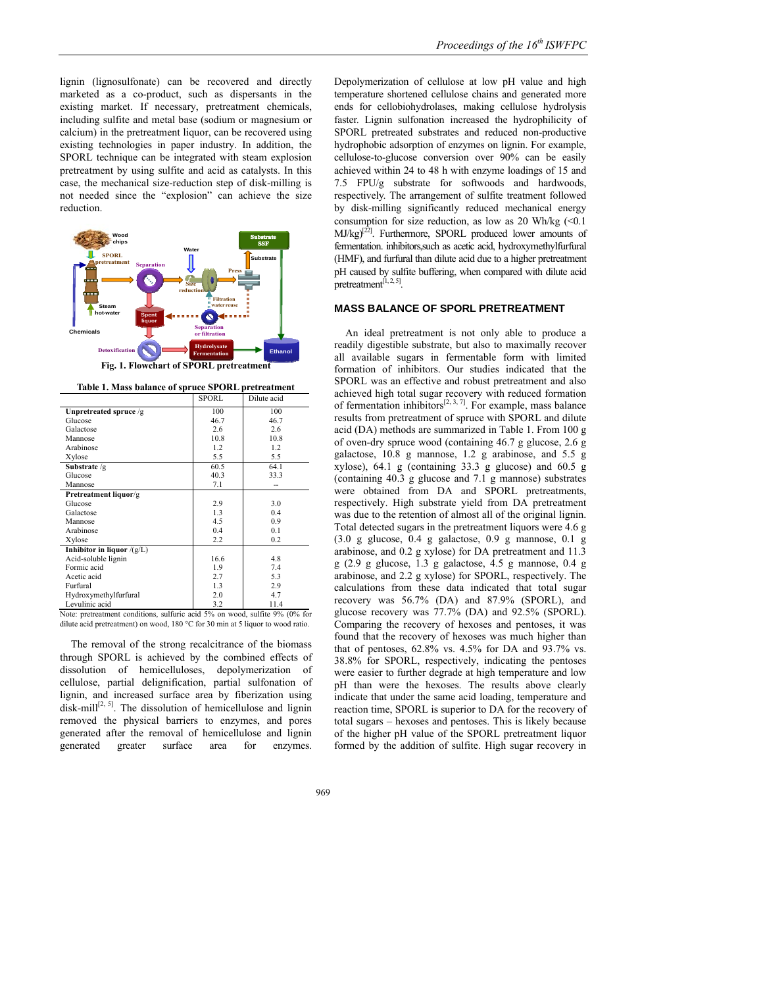lignin (lignosulfonate) can be recovered and directly marketed as a co-product, such as dispersants in the existing market. If necessary, pretreatment chemicals, including sulfite and metal base (sodium or magnesium or calcium) in the pretreatment liquor, can be recovered using existing technologies in paper industry. In addition, the SPORL technique can be integrated with steam explosion pretreatment by using sulfite and acid as catalysts. In this case, the mechanical size-reduction step of disk-milling is not needed since the "explosion" can achieve the size reduction.



Note: pretreatment conditions, sulfuric acid 5% on wood, sulfite 9% (0% for dilute acid pretreatment) on wood, 180 °C for 30 min at 5 liquor to wood ratio.

The removal of the strong recalcitrance of the biomass through SPORL is achieved by the combined effects of dissolution of hemicelluloses, depolymerization of cellulose, partial delignification, partial sulfonation of lignin, and increased surface area by fiberization using disk-mill<sup>[2, 5]</sup>. The dissolution of hemicellulose and lignin removed the physical barriers to enzymes, and pores generated after the removal of hemicellulose and lignin generated greater surface area for enzymes.

Depolymerization of cellulose at low pH value and high temperature shortened cellulose chains and generated more ends for cellobiohydrolases, making cellulose hydrolysis faster. Lignin sulfonation increased the hydrophilicity of SPORL pretreated substrates and reduced non-productive hydrophobic adsorption of enzymes on lignin. For example, cellulose-to-glucose conversion over 90% can be easily achieved within 24 to 48 h with enzyme loadings of 15 and 7.5 FPU/g substrate for softwoods and hardwoods, respectively. The arrangement of sulfite treatment followed by disk-milling significantly reduced mechanical energy consumption for size reduction, as low as 20 Wh/kg  $\ll 0.1$ MJ/kg)<sup>[22]</sup>. Furthermore, SPORL produced lower amounts of fermentation. inhibitors,such as acetic acid, hydroxymethylfurfural (HMF), and furfural than dilute acid due to a higher pretreatment pH caused by sulfite buffering, when compared with dilute acid pretreatment<sup>[1, 2, 5]</sup>.

# **MASS BALANCE OF SPORL PRETREATMENT**

An ideal pretreatment is not only able to produce a readily digestible substrate, but also to maximally recover all available sugars in fermentable form with limited formation of inhibitors. Our studies indicated that the SPORL was an effective and robust pretreatment and also achieved high total sugar recovery with reduced formation of fermentation inhibitors<sup>[2, 3, 7]</sup>. For example, mass balance results from pretreatment of spruce with SPORL and dilute acid (DA) methods are summarized in Table 1. From 100 g of oven-dry spruce wood (containing 46.7 g glucose, 2.6 g galactose, 10.8 g mannose, 1.2 g arabinose, and 5.5 g xylose), 64.1 g (containing 33.3 g glucose) and 60.5 g (containing 40.3 g glucose and 7.1 g mannose) substrates were obtained from DA and SPORL pretreatments, respectively. High substrate yield from DA pretreatment was due to the retention of almost all of the original lignin. Total detected sugars in the pretreatment liquors were 4.6 g (3.0 g glucose, 0.4 g galactose, 0.9 g mannose, 0.1 g arabinose, and 0.2 g xylose) for DA pretreatment and 11.3 g (2.9 g glucose, 1.3 g galactose, 4.5 g mannose, 0.4 g arabinose, and 2.2 g xylose) for SPORL, respectively. The calculations from these data indicated that total sugar recovery was 56.7% (DA) and 87.9% (SPORL), and glucose recovery was 77.7% (DA) and 92.5% (SPORL). Comparing the recovery of hexoses and pentoses, it was found that the recovery of hexoses was much higher than that of pentoses, 62.8% vs. 4.5% for DA and 93.7% vs. 38.8% for SPORL, respectively, indicating the pentoses were easier to further degrade at high temperature and low pH than were the hexoses. The results above clearly indicate that under the same acid loading, temperature and reaction time, SPORL is superior to DA for the recovery of total sugars – hexoses and pentoses. This is likely because of the higher pH value of the SPORL pretreatment liquor formed by the addition of sulfite. High sugar recovery in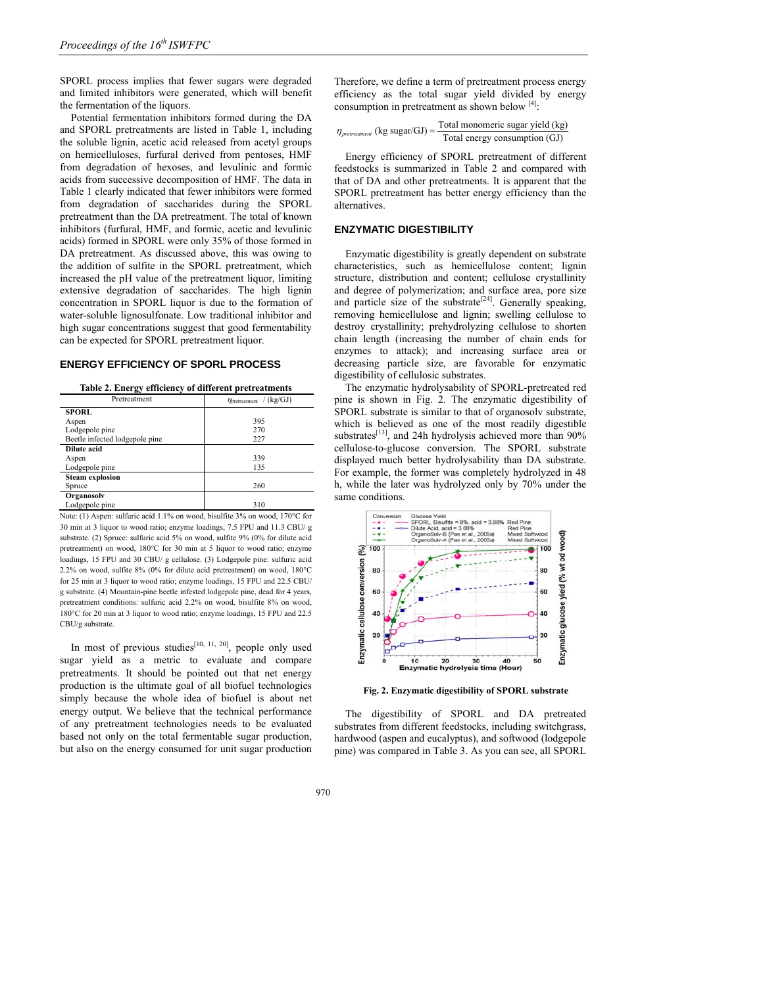SPORL process implies that fewer sugars were degraded and limited inhibitors were generated, which will benefit the fermentation of the liquors.

Potential fermentation inhibitors formed during the DA and SPORL pretreatments are listed in Table 1, including the soluble lignin, acetic acid released from acetyl groups on hemicelluloses, furfural derived from pentoses, HMF from degradation of hexoses, and levulinic and formic acids from successive decomposition of HMF. The data in Table 1 clearly indicated that fewer inhibitors were formed from degradation of saccharides during the SPORL pretreatment than the DA pretreatment. The total of known inhibitors (furfural, HMF, and formic, acetic and levulinic acids) formed in SPORL were only 35% of those formed in DA pretreatment. As discussed above, this was owing to the addition of sulfite in the SPORL pretreatment, which increased the pH value of the pretreatment liquor, limiting extensive degradation of saccharides. The high lignin concentration in SPORL liquor is due to the formation of water-soluble lignosulfonate. Low traditional inhibitor and high sugar concentrations suggest that good fermentability can be expected for SPORL pretreatment liquor.

## **ENERGY EFFICIENCY OF SPORL PROCESS**

|  |  |  |  | Table 2. Energy efficiency of different pretreatments |
|--|--|--|--|-------------------------------------------------------|
|--|--|--|--|-------------------------------------------------------|

| Pretreatment                   | /(kg/GJ)<br>$\eta$ <sub>pretreatment</sub> |  |  |
|--------------------------------|--------------------------------------------|--|--|
| <b>SPORL</b>                   |                                            |  |  |
| Aspen                          | 395                                        |  |  |
| Lodgepole pine                 | 270                                        |  |  |
| Beetle infected lodgepole pine | 227                                        |  |  |
| Dilute acid                    |                                            |  |  |
| Aspen                          | 339                                        |  |  |
| Lodgepole pine                 | 135                                        |  |  |
| <b>Steam explosion</b>         |                                            |  |  |
| Spruce                         | 260                                        |  |  |
| Organosolv                     |                                            |  |  |
| Lodgepole pine                 | 310                                        |  |  |

Note: (1) Aspen: sulfuric acid 1.1% on wood, bisulfite 3% on wood, 170°C for 30 min at 3 liquor to wood ratio; enzyme loadings, 7.5 FPU and 11.3 CBU/ g substrate. (2) Spruce: sulfuric acid 5% on wood, sulfite 9% (0% for dilute acid pretreatment) on wood, 180°C for 30 min at 5 liquor to wood ratio; enzyme loadings, 15 FPU and 30 CBU/ g cellulose. (3) Lodgepole pine: sulfuric acid 2.2% on wood, sulfite 8% (0% for dilute acid pretreatment) on wood, 180°C for 25 min at 3 liquor to wood ratio; enzyme loadings, 15 FPU and 22.5 CBU/ g substrate. (4) Mountain-pine beetle infested lodgepole pine, dead for 4 years, pretreatment conditions: sulfuric acid 2.2% on wood, bisulfite 8% on wood, 180°C for 20 min at 3 liquor to wood ratio; enzyme loadings, 15 FPU and 22.5 CBU/g substrate.

In most of previous studies<sup>[10, 11, 20]</sup>, people only used sugar yield as a metric to evaluate and compare pretreatments. It should be pointed out that net energy production is the ultimate goal of all biofuel technologies simply because the whole idea of biofuel is about net energy output. We believe that the technical performance of any pretreatment technologies needs to be evaluated based not only on the total fermentable sugar production, but also on the energy consumed for unit sugar production Therefore, we define a term of pretreatment process energy efficiency as the total sugar yield divided by energy consumption in pretreatment as shown below [4]:

 $_{tment}$  (kg sugar/GJ) =  $\frac{\text{Total monomeric sugar yield (kg)}}{\text{Total Induction}}$ Total energy consumption (GJ)

Energy efficiency of SPORL pretreatment of different feedstocks is summarized in Table 2 and compared with that of DA and other pretreatments. It is apparent that the SPORL pretreatment has better energy efficiency than the alternatives.

#### **ENZYMATIC DIGESTIBILITY**

Enzymatic digestibility is greatly dependent on substrate characteristics, such as hemicellulose content; lignin structure, distribution and content; cellulose crystallinity and degree of polymerization; and surface area, pore size and particle size of the substrate<sup>[24]</sup>. Generally speaking, removing hemicellulose and lignin; swelling cellulose to destroy crystallinity; prehydrolyzing cellulose to shorten chain length (increasing the number of chain ends for enzymes to attack); and increasing surface area or decreasing particle size, are favorable for enzymatic digestibility of cellulosic substrates.

The enzymatic hydrolysability of SPORL-pretreated red pine is shown in Fig. 2. The enzymatic digestibility of SPORL substrate is similar to that of organosolv substrate, which is believed as one of the most readily digestible substrates<sup>[13]</sup>, and 24h hydrolysis achieved more than 90% cellulose-to-glucose conversion. The SPORL substrate displayed much better hydrolysability than DA substrate. For example, the former was completely hydrolyzed in 48 h, while the later was hydrolyzed only by 70% under the same conditions.



**Fig. 2. Enzymatic digestibility of SPORL substrate** 

The digestibility of SPORL and DA pretreated substrates from different feedstocks, including switchgrass, hardwood (aspen and eucalyptus), and softwood (lodgepole pine) was compared in Table 3. As you can see, all SPORL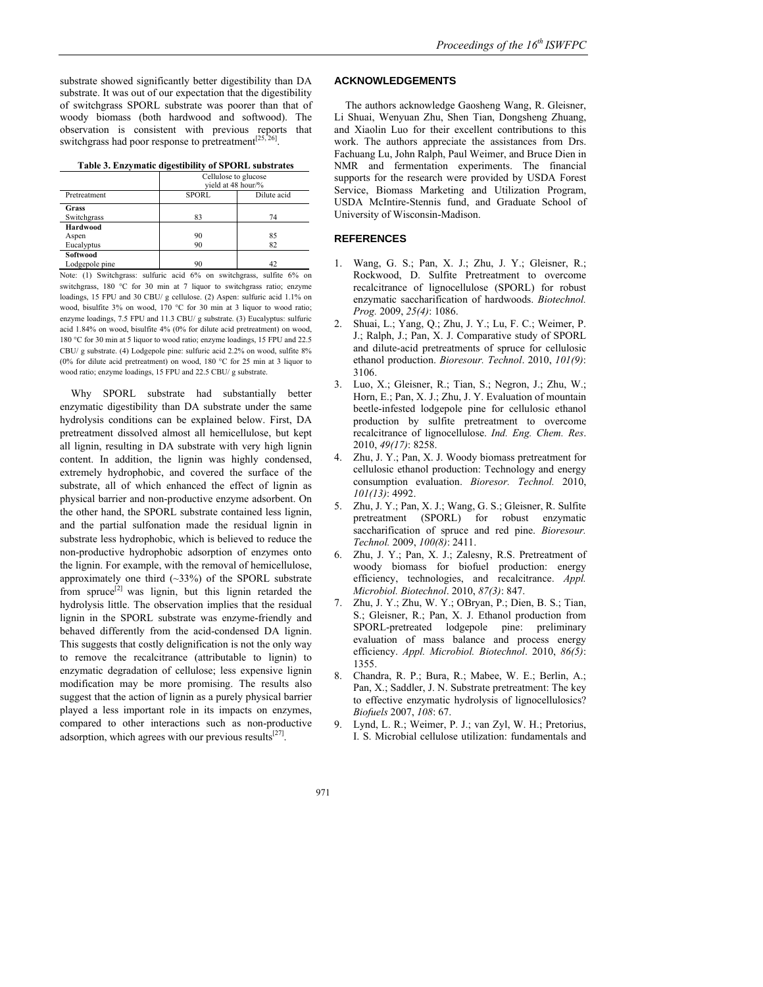| Table 3. Enzymatic digestibility of SPORL substrates |
|------------------------------------------------------|
|------------------------------------------------------|

|                                 | Cellulose to glucose<br>vield at 48 hour/% |             |  |
|---------------------------------|--------------------------------------------|-------------|--|
| Pretreatment                    | <b>SPORL</b>                               | Dilute acid |  |
| Grass<br>Switchgrass            | 83                                         | 74          |  |
| Hardwood<br>Aspen<br>Eucalyptus | 90<br>90                                   | 85<br>82    |  |
| Softwood<br>Lodgepole pine      | 90                                         | 42          |  |

Note: (1) Switchgrass: sulfuric acid 6% on switchgrass, sulfite 6% on switchgrass, 180 °C for 30 min at 7 liquor to switchgrass ratio; enzyme loadings, 15 FPU and 30 CBU/ g cellulose. (2) Aspen: sulfuric acid 1.1% on wood, bisulfite 3% on wood, 170 °C for 30 min at 3 liquor to wood ratio; enzyme loadings, 7.5 FPU and 11.3 CBU/ g substrate. (3) Eucalyptus: sulfuric acid 1.84% on wood, bisulfite 4% (0% for dilute acid pretreatment) on wood, 180 °C for 30 min at 5 liquor to wood ratio; enzyme loadings, 15 FPU and 22.5 CBU/ g substrate. (4) Lodgepole pine: sulfuric acid 2.2% on wood, sulfite 8% (0% for dilute acid pretreatment) on wood, 180 °C for 25 min at 3 liquor to wood ratio; enzyme loadings, 15 FPU and 22.5 CBU/ g substrate.

Why SPORL substrate had substantially better enzymatic digestibility than DA substrate under the same hydrolysis conditions can be explained below. First, DA pretreatment dissolved almost all hemicellulose, but kept all lignin, resulting in DA substrate with very high lignin content. In addition, the lignin was highly condensed, extremely hydrophobic, and covered the surface of the substrate, all of which enhanced the effect of lignin as physical barrier and non-productive enzyme adsorbent. On the other hand, the SPORL substrate contained less lignin, and the partial sulfonation made the residual lignin in substrate less hydrophobic, which is believed to reduce the non-productive hydrophobic adsorption of enzymes onto the lignin. For example, with the removal of hemicellulose, approximately one third  $(\sim 33\%)$  of the SPORL substrate from spruce<sup>[2]</sup> was lignin, but this lignin retarded the hydrolysis little. The observation implies that the residual lignin in the SPORL substrate was enzyme-friendly and behaved differently from the acid-condensed DA lignin. This suggests that costly delignification is not the only way to remove the recalcitrance (attributable to lignin) to enzymatic degradation of cellulose; less expensive lignin modification may be more promising. The results also suggest that the action of lignin as a purely physical barrier played a less important role in its impacts on enzymes, compared to other interactions such as non-productive adsorption, which agrees with our previous results $[27]$ .

#### **ACKNOWLEDGEMENTS**

The authors acknowledge Gaosheng Wang, R. Gleisner, Li Shuai, Wenyuan Zhu, Shen Tian, Dongsheng Zhuang, and Xiaolin Luo for their excellent contributions to this work. The authors appreciate the assistances from Drs. Fachuang Lu, John Ralph, Paul Weimer, and Bruce Dien in NMR and fermentation experiments. The financial supports for the research were provided by USDA Forest Service, Biomass Marketing and Utilization Program, USDA McIntire-Stennis fund, and Graduate School of University of Wisconsin-Madison.

## **REFERENCES**

- 1. Wang, G. S.; Pan, X. J.; Zhu, J. Y.; Gleisner, R.; Rockwood, D. Sulfite Pretreatment to overcome recalcitrance of lignocellulose (SPORL) for robust enzymatic saccharification of hardwoods. *Biotechnol. Prog.* 2009, *25(4)*: 1086.
- 2. Shuai, L.; Yang, Q.; Zhu, J. Y.; Lu, F. C.; Weimer, P. J.; Ralph, J.; Pan, X. J. Comparative study of SPORL and dilute-acid pretreatments of spruce for cellulosic ethanol production. *Bioresour. Technol*. 2010, *101(9)*: 3106.
- 3. Luo, X.; Gleisner, R.; Tian, S.; Negron, J.; Zhu, W.; Horn, E.; Pan, X. J.; Zhu, J. Y. Evaluation of mountain beetle-infested lodgepole pine for cellulosic ethanol production by sulfite pretreatment to overcome recalcitrance of lignocellulose. *Ind. Eng. Chem. Res*. 2010, *49(17)*: 8258.
- 4. Zhu, J. Y.; Pan, X. J. Woody biomass pretreatment for cellulosic ethanol production: Technology and energy consumption evaluation. *Bioresor. Technol.* 2010, *101(13)*: 4992.
- 5. Zhu, J. Y.; Pan, X. J.; Wang, G. S.; Gleisner, R. Sulfite pretreatment (SPORL) for robust enzymatic saccharification of spruce and red pine. *Bioresour. Technol.* 2009, *100(8)*: 2411.
- 6. Zhu, J. Y.; Pan, X. J.; Zalesny, R.S. Pretreatment of woody biomass for biofuel production: energy efficiency, technologies, and recalcitrance. *Appl. Microbiol. Biotechnol*. 2010, *87(3)*: 847.
- 7. Zhu, J. Y.; Zhu, W. Y.; OBryan, P.; Dien, B. S.; Tian, S.; Gleisner, R.; Pan, X. J. Ethanol production from SPORL-pretreated lodgepole pine: preliminary evaluation of mass balance and process energy efficiency. *Appl. Microbiol. Biotechnol*. 2010, *86(5)*: 1355.
- 8. Chandra, R. P.; Bura, R.; Mabee, W. E.; Berlin, A.; Pan, X.; Saddler, J. N. Substrate pretreatment: The key to effective enzymatic hydrolysis of lignocellulosics? *Biofuels* 2007, *108*: 67.
- 9. Lynd, L. R.; Weimer, P. J.; van Zyl, W. H.; Pretorius, I. S. Microbial cellulose utilization: fundamentals and
- 971